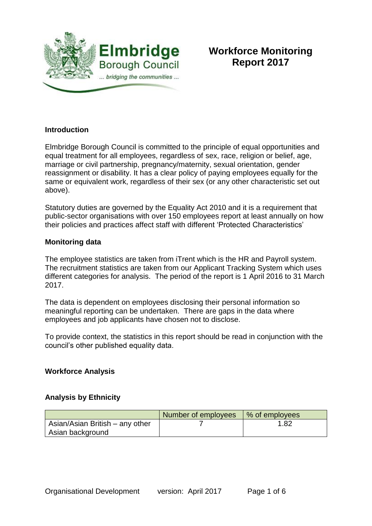

# **Workforce Monitoring Report 2017**

#### **Introduction**

Elmbridge Borough Council is committed to the principle of equal opportunities and equal treatment for all employees, regardless of sex, race, religion or belief, age, marriage or civil partnership, pregnancy/maternity, sexual orientation, gender reassignment or disability. It has a clear policy of paying employees equally for the same or equivalent work, regardless of their sex (or any other characteristic set out above).

Statutory duties are governed by the Equality Act 2010 and it is a requirement that public-sector organisations with over 150 employees report at least annually on how their policies and practices affect staff with different 'Protected Characteristics'

#### **Monitoring data**

The employee statistics are taken from iTrent which is the HR and Payroll system. The recruitment statistics are taken from our Applicant Tracking System which uses different categories for analysis. The period of the report is 1 April 2016 to 31 March 2017.

The data is dependent on employees disclosing their personal information so meaningful reporting can be undertaken. There are gaps in the data where employees and job applicants have chosen not to disclose.

To provide context, the statistics in this report should be read in conjunction with the council's other published equality data.

#### **Workforce Analysis**

#### **Analysis by Ethnicity**

|                                 | Number of employees | │ % of employees |
|---------------------------------|---------------------|------------------|
| Asian/Asian British – any other |                     | 1.82             |
| Asian background                |                     |                  |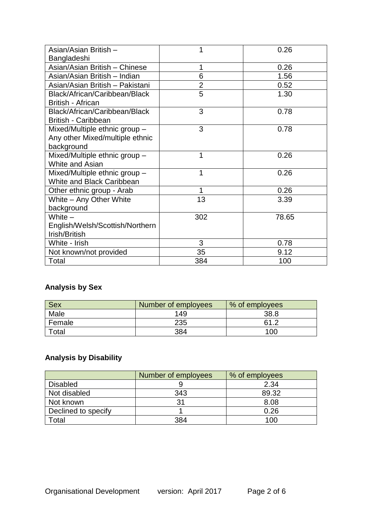| Asian/Asian British -           |                | 0.26  |
|---------------------------------|----------------|-------|
| Bangladeshi                     |                |       |
| Asian/Asian British - Chinese   |                | 0.26  |
| Asian/Asian British - Indian    | 6              | 1.56  |
| Asian/Asian British - Pakistani | $\overline{2}$ | 0.52  |
| Black/African/Caribbean/Black   | 5              | 1.30  |
| British - African               |                |       |
| Black/African/Caribbean/Black   | 3              | 0.78  |
| <b>British - Caribbean</b>      |                |       |
| Mixed/Multiple ethnic group -   | 3              | 0.78  |
| Any other Mixed/multiple ethnic |                |       |
| background                      |                |       |
| Mixed/Multiple ethnic group -   | 1              | 0.26  |
| White and Asian                 |                |       |
| Mixed/Multiple ethnic group -   | 1              | 0.26  |
| White and Black Caribbean       |                |       |
| Other ethnic group - Arab       | 1              | 0.26  |
| White - Any Other White         | 13             | 3.39  |
| background                      |                |       |
| White $-$                       | 302            | 78.65 |
| English/Welsh/Scottish/Northern |                |       |
| Irish/British                   |                |       |
| White - Irish                   | 3              | 0.78  |
| Not known/not provided          | 35             | 9.12  |
| Total                           | 384            | 100   |

## **Analysis by Sex**

| <b>Sex</b>  | Number of employees | % of employees |
|-------------|---------------------|----------------|
| Male        | 149                 | 38.8           |
| Female      | 235                 | 61 2           |
| $\tau$ otal | 384                 | 100            |

## **Analysis by Disability**

|                     | Number of employees | % of employees |
|---------------------|---------------------|----------------|
| <b>Disabled</b>     |                     | 2.34           |
| Not disabled        | 343                 | 89.32          |
| Not known           | 31                  | 8.08           |
| Declined to specify |                     | 0.26           |
| Total               | 384                 | 100            |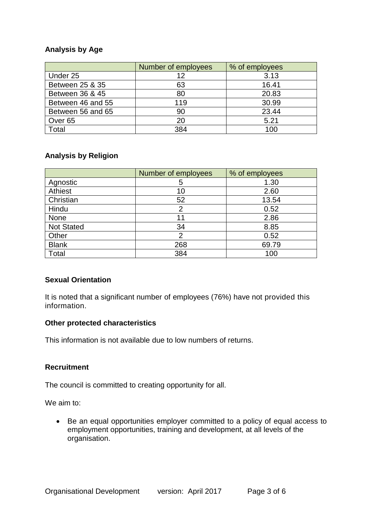#### **Analysis by Age**

|                    | Number of employees | % of employees |  |
|--------------------|---------------------|----------------|--|
| Under 25           | 12                  | 3.13           |  |
| Between 25 & 35    | 63                  | 16.41          |  |
| Between 36 & 45    | 80                  | 20.83          |  |
| Between 46 and 55  | 119                 | 30.99          |  |
| Between 56 and 65  | 90                  | 23.44          |  |
| Over <sub>65</sub> | 20                  | 5.21           |  |
| Total              | 384                 | 100            |  |

#### **Analysis by Religion**

|                   | Number of employees | % of employees |
|-------------------|---------------------|----------------|
| Agnostic          | 5                   | 1.30           |
| Athiest           | 10                  | 2.60           |
| Christian         | 52                  | 13.54          |
| Hindu             | 2                   | 0.52           |
| None              | 11                  | 2.86           |
| <b>Not Stated</b> | 34                  | 8.85           |
| Other             | 2                   | 0.52           |
| <b>Blank</b>      | 268                 | 69.79          |
| Total             | 384                 | 100            |

#### **Sexual Orientation**

It is noted that a significant number of employees (76%) have not provided this information.

#### **Other protected characteristics**

This information is not available due to low numbers of returns.

#### **Recruitment**

The council is committed to creating opportunity for all.

We aim to:

• Be an equal opportunities employer committed to a policy of equal access to employment opportunities, training and development, at all levels of the organisation.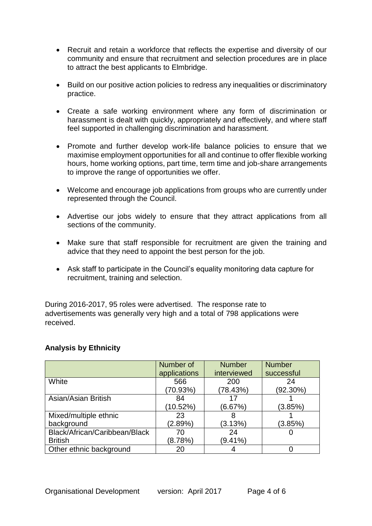- Recruit and retain a workforce that reflects the expertise and diversity of our community and ensure that recruitment and selection procedures are in place to attract the best applicants to Elmbridge.
- Build on our positive action policies to redress any inequalities or discriminatory practice.
- Create a safe working environment where any form of discrimination or harassment is dealt with quickly, appropriately and effectively, and where staff feel supported in challenging discrimination and harassment.
- Promote and further develop work-life balance policies to ensure that we maximise employment opportunities for all and continue to offer flexible working hours, home working options, part time, term time and job-share arrangements to improve the range of opportunities we offer.
- Welcome and encourage job applications from groups who are currently under represented through the Council.
- Advertise our jobs widely to ensure that they attract applications from all sections of the community.
- Make sure that staff responsible for recruitment are given the training and advice that they need to appoint the best person for the job.
- Ask staff to participate in the Council's equality monitoring data capture for recruitment, training and selection.

During 2016-2017, 95 roles were advertised. The response rate to advertisements was generally very high and a total of 798 applications were received.

#### **Analysis by Ethnicity**

|                               | Number of    | <b>Number</b> | <b>Number</b> |
|-------------------------------|--------------|---------------|---------------|
|                               | applications | interviewed   | successful    |
| White                         | 566          | 200           | 24            |
|                               | (70.93%)     | (78.43%)      | $(92.30\%)$   |
| Asian/Asian British           | 84           |               |               |
|                               | (10.52%)     | (6.67%)       | (3.85%)       |
| Mixed/multiple ethnic         | 23           |               |               |
| background                    | $(2.89\%)$   | (3.13%)       | (3.85%)       |
| Black/African/Caribbean/Black | 70           | 24            |               |
| <b>British</b>                | (8.78%)      | $(9.41\%)$    |               |
| Other ethnic background       | 20           |               |               |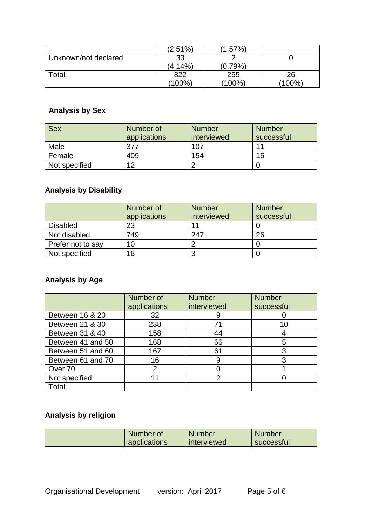|                      | $(2.51\%)$ | $.57\%$    |        |
|----------------------|------------|------------|--------|
| Unknown/not declared | 33         |            |        |
|                      | (4.14%)    | $(0.79\%)$ |        |
| Total                | 822        | 255        | 26     |
|                      | (100%)     | $(100\%)$  | (100%) |

## **Analysis by Sex**

| Sex           | Number of<br>applications | <b>Number</b><br>interviewed | <b>Number</b><br>successful |
|---------------|---------------------------|------------------------------|-----------------------------|
| Male          | 377                       | 107                          | 11                          |
| Female        | 409                       | 154                          | 15                          |
| Not specified | 12                        |                              |                             |

## **Analysis by Disability**

|                   | Number of<br>applications | <b>Number</b><br>interviewed | <b>Number</b><br>successful |
|-------------------|---------------------------|------------------------------|-----------------------------|
| <b>Disabled</b>   | 23                        |                              |                             |
| Not disabled      | 749                       | 247                          | 26                          |
| Prefer not to say | 10                        |                              |                             |
| Not specified     | 16                        |                              |                             |

### **Analysis by Age**

|                   | Number of<br>applications | <b>Number</b><br>interviewed | <b>Number</b><br>successful |
|-------------------|---------------------------|------------------------------|-----------------------------|
| Between 16 & 20   | 32                        | 9                            |                             |
| Between 21 & 30   | 238                       |                              | 10                          |
| Between 31 & 40   | 158                       | 44                           |                             |
| Between 41 and 50 | 168                       | 66                           | 5                           |
| Between 51 and 60 | 167                       | 61                           | 3                           |
| Between 61 and 70 | 16                        |                              | 3                           |
| Over 70           | 2                         |                              |                             |
| Not specified     | 11                        | 2                            |                             |
| Total             |                           |                              |                             |

## **Analysis by religion**

| Number of    | Number      | <b>Number</b> |
|--------------|-------------|---------------|
| applications | interviewed | successful    |